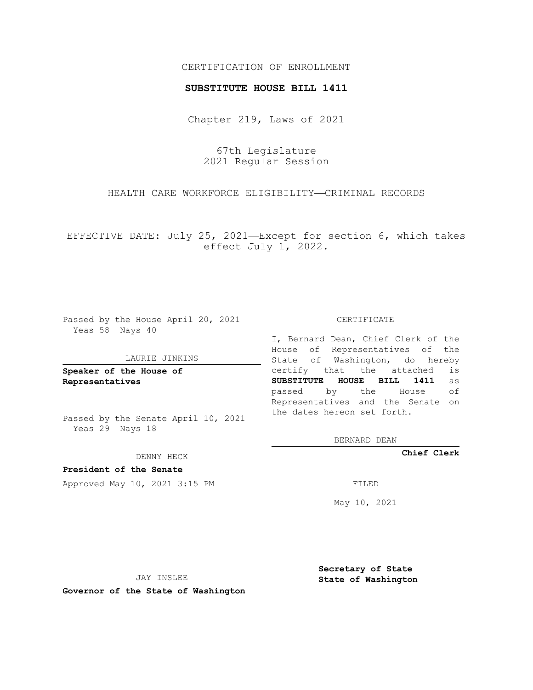### CERTIFICATION OF ENROLLMENT

#### **SUBSTITUTE HOUSE BILL 1411**

Chapter 219, Laws of 2021

67th Legislature 2021 Regular Session

HEALTH CARE WORKFORCE ELIGIBILITY—CRIMINAL RECORDS

EFFECTIVE DATE: July 25, 2021—Except for section 6, which takes effect July 1, 2022.

Passed by the House April 20, 2021 Yeas 58 Nays 40

#### LAURIE JINKINS

**Speaker of the House of Representatives**

Passed by the Senate April 10, 2021 Yeas 29 Nays 18

DENNY HECK

**President of the Senate** Approved May 10, 2021 3:15 PM FILED

CERTIFICATE

I, Bernard Dean, Chief Clerk of the House of Representatives of the State of Washington, do hereby certify that the attached is **SUBSTITUTE HOUSE BILL 1411** as passed by the House of Representatives and the Senate on the dates hereon set forth.

BERNARD DEAN

**Chief Clerk**

May 10, 2021

JAY INSLEE

**Governor of the State of Washington**

**Secretary of State State of Washington**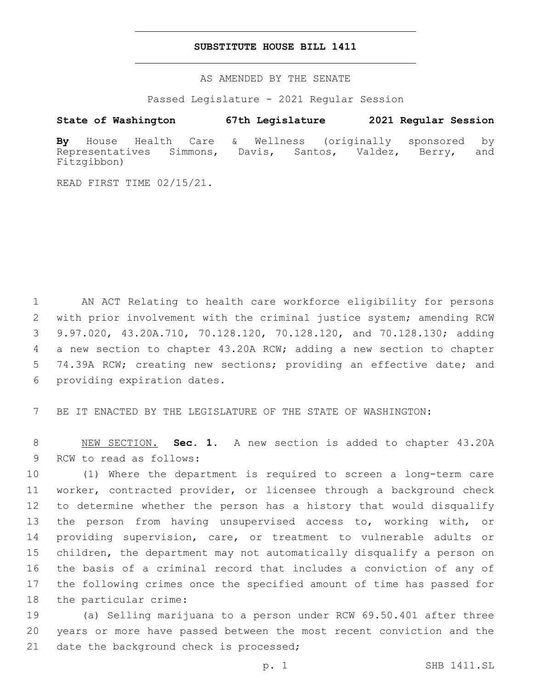#### **SUBSTITUTE HOUSE BILL 1411**

AS AMENDED BY THE SENATE

Passed Legislature - 2021 Regular Session

## **State of Washington 67th Legislature 2021 Regular Session**

**By** House Health Care & Wellness (originally sponsored by Representatives Simmons, Davis, Santos, Valdez, Berry, and Fitzgibbon)

READ FIRST TIME 02/15/21.

 AN ACT Relating to health care workforce eligibility for persons with prior involvement with the criminal justice system; amending RCW 9.97.020, 43.20A.710, 70.128.120, 70.128.120, and 70.128.130; adding a new section to chapter 43.20A RCW; adding a new section to chapter 5 74.39A RCW; creating new sections; providing an effective date; and 6 providing expiration dates.

7 BE IT ENACTED BY THE LEGISLATURE OF THE STATE OF WASHINGTON:

8 NEW SECTION. **Sec. 1.** A new section is added to chapter 43.20A 9 RCW to read as follows:

 (1) Where the department is required to screen a long-term care worker, contracted provider, or licensee through a background check to determine whether the person has a history that would disqualify the person from having unsupervised access to, working with, or providing supervision, care, or treatment to vulnerable adults or children, the department may not automatically disqualify a person on the basis of a criminal record that includes a conviction of any of the following crimes once the specified amount of time has passed for 18 the particular crime:

19 (a) Selling marijuana to a person under RCW 69.50.401 after three 20 years or more have passed between the most recent conviction and the 21 date the background check is processed;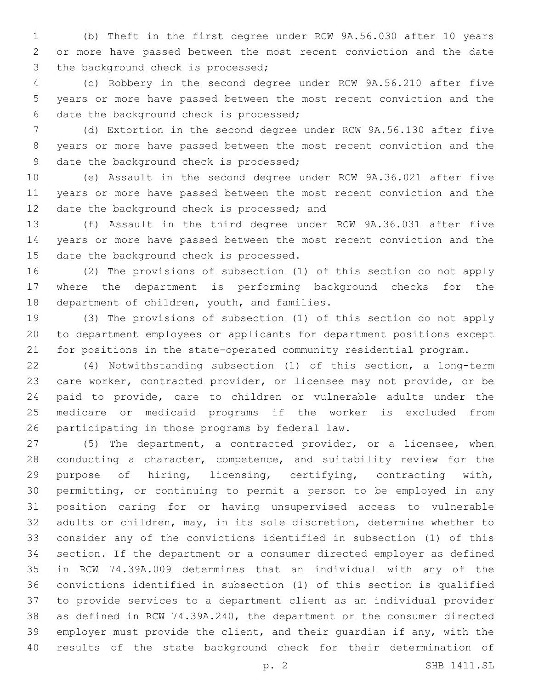(b) Theft in the first degree under RCW 9A.56.030 after 10 years or more have passed between the most recent conviction and the date 3 the background check is processed;

 (c) Robbery in the second degree under RCW 9A.56.210 after five years or more have passed between the most recent conviction and the 6 date the background check is processed;

 (d) Extortion in the second degree under RCW 9A.56.130 after five years or more have passed between the most recent conviction and the 9 date the background check is processed;

 (e) Assault in the second degree under RCW 9A.36.021 after five years or more have passed between the most recent conviction and the 12 date the background check is processed; and

 (f) Assault in the third degree under RCW 9A.36.031 after five years or more have passed between the most recent conviction and the 15 date the background check is processed.

 (2) The provisions of subsection (1) of this section do not apply where the department is performing background checks for the 18 department of children, youth, and families.

 (3) The provisions of subsection (1) of this section do not apply to department employees or applicants for department positions except for positions in the state-operated community residential program.

 (4) Notwithstanding subsection (1) of this section, a long-term care worker, contracted provider, or licensee may not provide, or be paid to provide, care to children or vulnerable adults under the medicare or medicaid programs if the worker is excluded from 26 participating in those programs by federal law.

 (5) The department, a contracted provider, or a licensee, when conducting a character, competence, and suitability review for the purpose of hiring, licensing, certifying, contracting with, permitting, or continuing to permit a person to be employed in any position caring for or having unsupervised access to vulnerable adults or children, may, in its sole discretion, determine whether to consider any of the convictions identified in subsection (1) of this section. If the department or a consumer directed employer as defined in RCW 74.39A.009 determines that an individual with any of the convictions identified in subsection (1) of this section is qualified to provide services to a department client as an individual provider as defined in RCW 74.39A.240, the department or the consumer directed employer must provide the client, and their guardian if any, with the results of the state background check for their determination of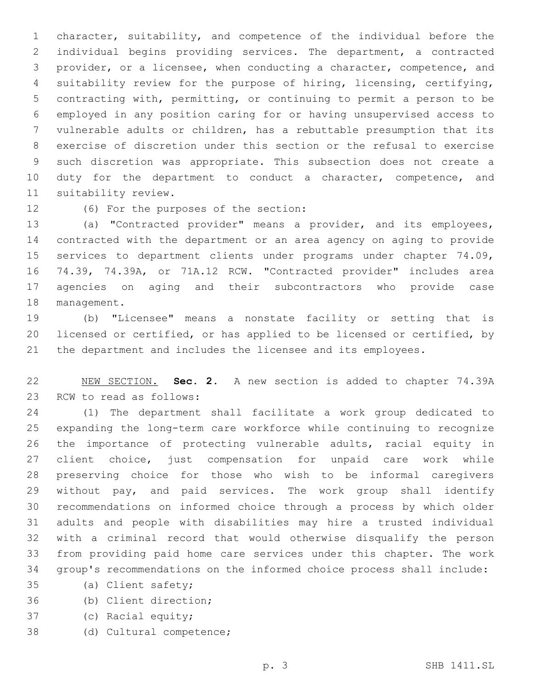character, suitability, and competence of the individual before the individual begins providing services. The department, a contracted provider, or a licensee, when conducting a character, competence, and suitability review for the purpose of hiring, licensing, certifying, contracting with, permitting, or continuing to permit a person to be employed in any position caring for or having unsupervised access to vulnerable adults or children, has a rebuttable presumption that its exercise of discretion under this section or the refusal to exercise such discretion was appropriate. This subsection does not create a 10 duty for the department to conduct a character, competence, and 11 suitability review.

# 12 (6) For the purposes of the section:

 (a) "Contracted provider" means a provider, and its employees, contracted with the department or an area agency on aging to provide services to department clients under programs under chapter 74.09, 74.39, 74.39A, or 71A.12 RCW. "Contracted provider" includes area agencies on aging and their subcontractors who provide case 18 management.

 (b) "Licensee" means a nonstate facility or setting that is licensed or certified, or has applied to be licensed or certified, by the department and includes the licensee and its employees.

 NEW SECTION. **Sec. 2.** A new section is added to chapter 74.39A 23 RCW to read as follows:

 (1) The department shall facilitate a work group dedicated to expanding the long-term care workforce while continuing to recognize the importance of protecting vulnerable adults, racial equity in client choice, just compensation for unpaid care work while preserving choice for those who wish to be informal caregivers without pay, and paid services. The work group shall identify recommendations on informed choice through a process by which older adults and people with disabilities may hire a trusted individual with a criminal record that would otherwise disqualify the person from providing paid home care services under this chapter. The work group's recommendations on the informed choice process shall include:

- 35 (a) Client safety;
- (b) Client direction;36
- 37 (c) Racial equity;
- 38 (d) Cultural competence;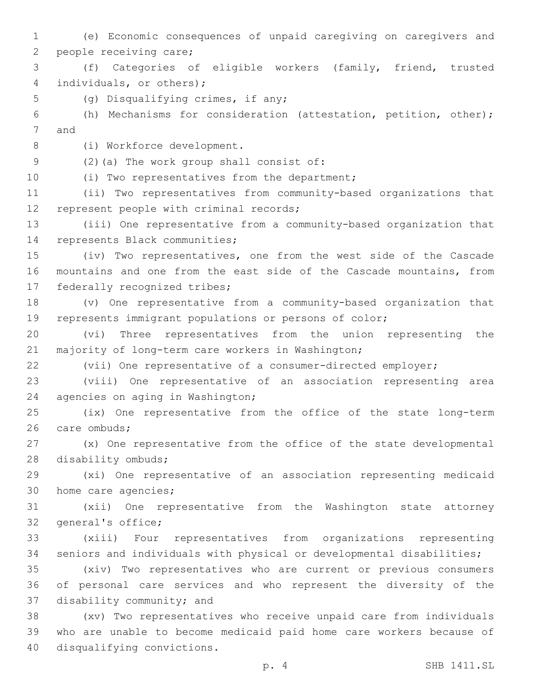1 (e) Economic consequences of unpaid caregiving on caregivers and 2 people receiving care; 3 (f) Categories of eligible workers (family, friend, trusted 4 individuals, or others); 5 (g) Disqualifying crimes, if any; 6 (h) Mechanisms for consideration (attestation, petition, other); 7 and 8 (i) Workforce development. (2)(a) The work group shall consist of:9 10 (i) Two representatives from the department; 11 (ii) Two representatives from community-based organizations that 12 represent people with criminal records; 13 (iii) One representative from a community-based organization that 14 represents Black communities; 15 (iv) Two representatives, one from the west side of the Cascade 16 mountains and one from the east side of the Cascade mountains, from 17 federally recognized tribes; 18 (v) One representative from a community-based organization that 19 represents immigrant populations or persons of color; 20 (vi) Three representatives from the union representing the 21 majority of long-term care workers in Washington; 22 (vii) One representative of a consumer-directed employer; 23 (viii) One representative of an association representing area 24 agencies on aging in Washington; 25 (ix) One representative from the office of the state long-term 26 care ombuds; 27 (x) One representative from the office of the state developmental 28 disability ombuds; 29 (xi) One representative of an association representing medicaid 30 home care agencies; 31 (xii) One representative from the Washington state attorney 32 general's office; 33 (xiii) Four representatives from organizations representing 34 seniors and individuals with physical or developmental disabilities; 35 (xiv) Two representatives who are current or previous consumers 36 of personal care services and who represent the diversity of the 37 disability community; and 38 (xv) Two representatives who receive unpaid care from individuals 39 who are unable to become medicaid paid home care workers because of 40 disqualifying convictions.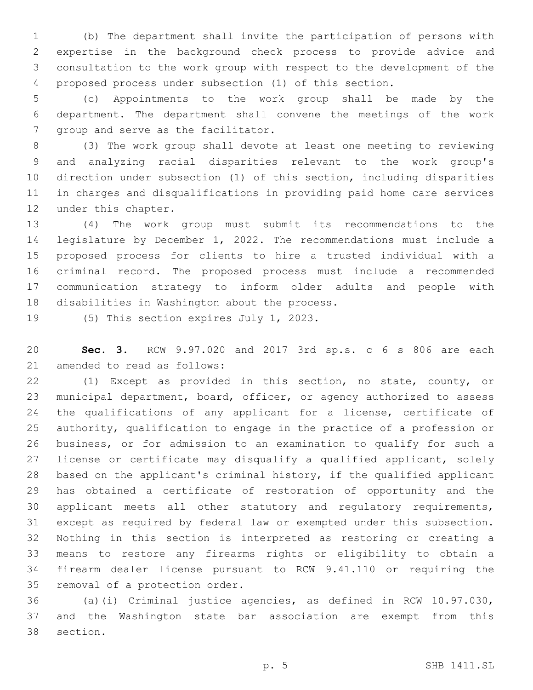(b) The department shall invite the participation of persons with expertise in the background check process to provide advice and consultation to the work group with respect to the development of the proposed process under subsection (1) of this section.

 (c) Appointments to the work group shall be made by the department. The department shall convene the meetings of the work 7 group and serve as the facilitator.

 (3) The work group shall devote at least one meeting to reviewing and analyzing racial disparities relevant to the work group's direction under subsection (1) of this section, including disparities in charges and disqualifications in providing paid home care services 12 under this chapter.

 (4) The work group must submit its recommendations to the legislature by December 1, 2022. The recommendations must include a proposed process for clients to hire a trusted individual with a criminal record. The proposed process must include a recommended communication strategy to inform older adults and people with 18 disabilities in Washington about the process.

19 (5) This section expires July 1, 2023.

 **Sec. 3.** RCW 9.97.020 and 2017 3rd sp.s. c 6 s 806 are each 21 amended to read as follows:

 (1) Except as provided in this section, no state, county, or municipal department, board, officer, or agency authorized to assess 24 the qualifications of any applicant for a license, certificate of authority, qualification to engage in the practice of a profession or business, or for admission to an examination to qualify for such a 27 license or certificate may disqualify a qualified applicant, solely based on the applicant's criminal history, if the qualified applicant has obtained a certificate of restoration of opportunity and the applicant meets all other statutory and regulatory requirements, except as required by federal law or exempted under this subsection. Nothing in this section is interpreted as restoring or creating a means to restore any firearms rights or eligibility to obtain a firearm dealer license pursuant to RCW 9.41.110 or requiring the 35 removal of a protection order.

 (a)(i) Criminal justice agencies, as defined in RCW 10.97.030, and the Washington state bar association are exempt from this 38 section.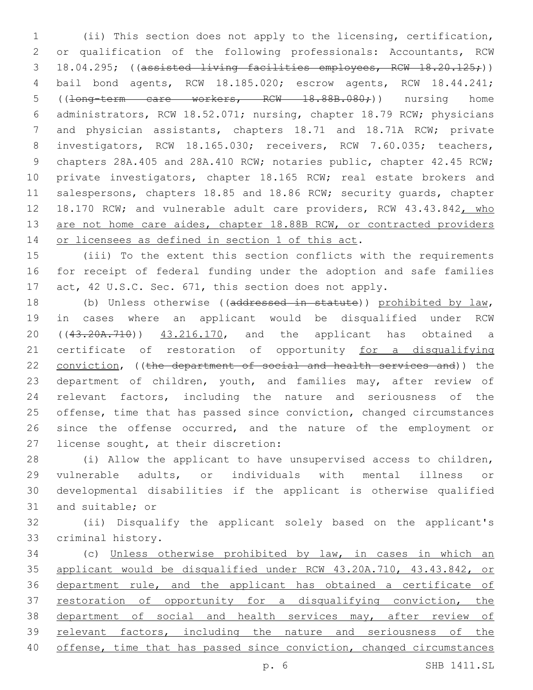1 (ii) This section does not apply to the licensing, certification, 2 or qualification of the following professionals: Accountants, RCW 3 18.04.295; ((assisted living facilities employees, RCW 18.20.125;)) 4 bail bond agents, RCW 18.185.020; escrow agents, RCW 18.44.241; 5 ((<del>long-term care workers, RCW 18.88B.080;</del>)) nursing home 6 administrators, RCW 18.52.071; nursing, chapter 18.79 RCW; physicians 7 and physician assistants, chapters 18.71 and 18.71A RCW; private 8 investigators, RCW 18.165.030; receivers, RCW 7.60.035; teachers, 9 chapters 28A.405 and 28A.410 RCW; notaries public, chapter 42.45 RCW; 10 private investigators, chapter 18.165 RCW; real estate brokers and 11 salespersons, chapters 18.85 and 18.86 RCW; security quards, chapter 12 18.170 RCW; and vulnerable adult care providers, RCW 43.43.842, who 13 are not home care aides, chapter 18.88B RCW, or contracted providers 14 or licensees as defined in section 1 of this act.

15 (iii) To the extent this section conflicts with the requirements 16 for receipt of federal funding under the adoption and safe families 17 act, 42 U.S.C. Sec. 671, this section does not apply.

18 (b) Unless otherwise ((addressed in statute)) prohibited by law, 19 in cases where an applicant would be disqualified under RCW 20 ((43.20A.710)) 43.216.170, and the applicant has obtained a 21 certificate of restoration of opportunity for a disqualifying 22 conviction, ((the department of social and health services and)) the 23 department of children, youth, and families may, after review of 24 relevant factors, including the nature and seriousness of the 25 offense, time that has passed since conviction, changed circumstances 26 since the offense occurred, and the nature of the employment or 27 license sought, at their discretion:

 (i) Allow the applicant to have unsupervised access to children, vulnerable adults, or individuals with mental illness or developmental disabilities if the applicant is otherwise qualified 31 and suitable; or

32 (ii) Disqualify the applicant solely based on the applicant's 33 criminal history.

 (c) Unless otherwise prohibited by law, in cases in which an applicant would be disqualified under RCW 43.20A.710, 43.43.842, or department rule, and the applicant has obtained a certificate of 37 restoration of opportunity for a disqualifying conviction, the 38 department of social and health services may, after review of relevant factors, including the nature and seriousness of the offense, time that has passed since conviction, changed circumstances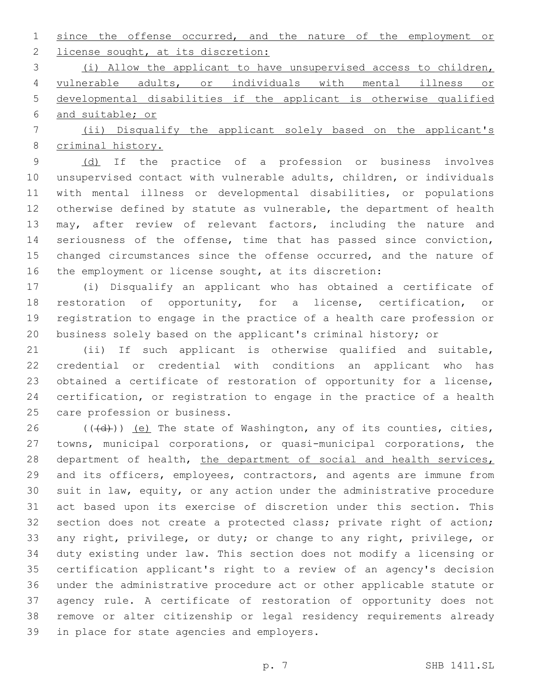since the offense occurred, and the nature of the employment or 2 license sought, at its discretion:

 (i) Allow the applicant to have unsupervised access to children, vulnerable adults, or individuals with mental illness or developmental disabilities if the applicant is otherwise qualified and suitable; or

 (ii) Disqualify the applicant solely based on the applicant's criminal history.

9 (d) If the practice of a profession or business involves unsupervised contact with vulnerable adults, children, or individuals with mental illness or developmental disabilities, or populations otherwise defined by statute as vulnerable, the department of health may, after review of relevant factors, including the nature and seriousness of the offense, time that has passed since conviction, 15 changed circumstances since the offense occurred, and the nature of the employment or license sought, at its discretion:

 (i) Disqualify an applicant who has obtained a certificate of restoration of opportunity, for a license, certification, or registration to engage in the practice of a health care profession or business solely based on the applicant's criminal history; or

 (ii) If such applicant is otherwise qualified and suitable, credential or credential with conditions an applicant who has obtained a certificate of restoration of opportunity for a license, certification, or registration to engage in the practice of a health 25 care profession or business.

 $((\overline{d}))$  (e) The state of Washington, any of its counties, cities, towns, municipal corporations, or quasi-municipal corporations, the 28 department of health, the department of social and health services, and its officers, employees, contractors, and agents are immune from suit in law, equity, or any action under the administrative procedure act based upon its exercise of discretion under this section. This section does not create a protected class; private right of action; any right, privilege, or duty; or change to any right, privilege, or duty existing under law. This section does not modify a licensing or certification applicant's right to a review of an agency's decision under the administrative procedure act or other applicable statute or agency rule. A certificate of restoration of opportunity does not remove or alter citizenship or legal residency requirements already 39 in place for state agencies and employers.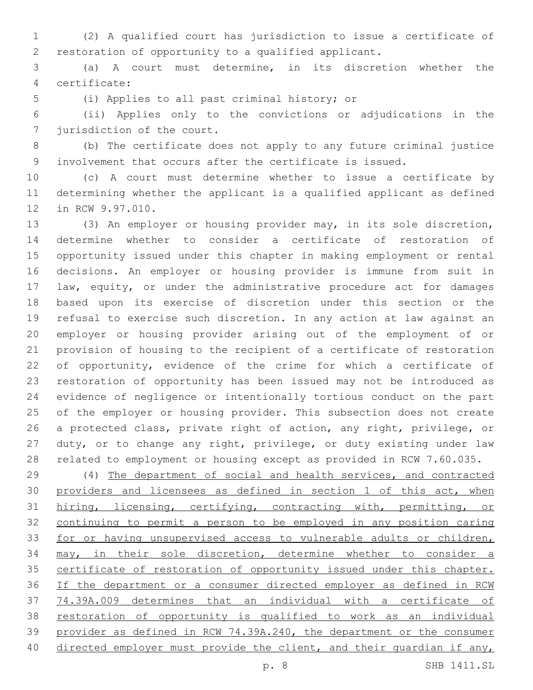(2) A qualified court has jurisdiction to issue a certificate of restoration of opportunity to a qualified applicant.

 (a) A court must determine, in its discretion whether the certificate:4

5 (i) Applies to all past criminal history; or

 (ii) Applies only to the convictions or adjudications in the 7 jurisdiction of the court.

 (b) The certificate does not apply to any future criminal justice involvement that occurs after the certificate is issued.

 (c) A court must determine whether to issue a certificate by determining whether the applicant is a qualified applicant as defined 12 in RCW 9.97.010.

 (3) An employer or housing provider may, in its sole discretion, determine whether to consider a certificate of restoration of opportunity issued under this chapter in making employment or rental decisions. An employer or housing provider is immune from suit in law, equity, or under the administrative procedure act for damages based upon its exercise of discretion under this section or the refusal to exercise such discretion. In any action at law against an employer or housing provider arising out of the employment of or provision of housing to the recipient of a certificate of restoration 22 of opportunity, evidence of the crime for which a certificate of restoration of opportunity has been issued may not be introduced as evidence of negligence or intentionally tortious conduct on the part of the employer or housing provider. This subsection does not create a protected class, private right of action, any right, privilege, or duty, or to change any right, privilege, or duty existing under law related to employment or housing except as provided in RCW 7.60.035.

 (4) The department of social and health services, and contracted 30 providers and licensees as defined in section 1 of this act, when hiring, licensing, certifying, contracting with, permitting, or continuing to permit a person to be employed in any position caring for or having unsupervised access to vulnerable adults or children, may, in their sole discretion, determine whether to consider a 35 certificate of restoration of opportunity issued under this chapter. If the department or a consumer directed employer as defined in RCW 74.39A.009 determines that an individual with a certificate of restoration of opportunity is qualified to work as an individual provider as defined in RCW 74.39A.240, the department or the consumer 40 directed employer must provide the client, and their quardian if any,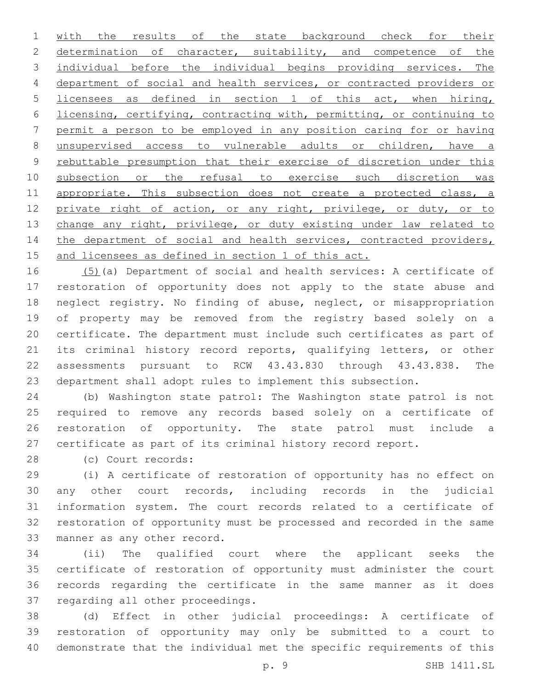with the results of the state background check for their 2 determination of character, suitability, and competence of the individual before the individual begins providing services. The department of social and health services, or contracted providers or licensees as defined in section 1 of this act, when hiring, licensing, certifying, contracting with, permitting, or continuing to permit a person to be employed in any position caring for or having unsupervised access to vulnerable adults or children, have a rebuttable presumption that their exercise of discretion under this subsection or the refusal to exercise such discretion was 11 appropriate. This subsection does not create a protected class, a 12 private right of action, or any right, privilege, or duty, or to 13 change any right, privilege, or duty existing under law related to 14 the department of social and health services, contracted providers, and licensees as defined in section 1 of this act.

 (5)(a) Department of social and health services: A certificate of restoration of opportunity does not apply to the state abuse and neglect registry. No finding of abuse, neglect, or misappropriation of property may be removed from the registry based solely on a certificate. The department must include such certificates as part of its criminal history record reports, qualifying letters, or other assessments pursuant to RCW 43.43.830 through 43.43.838. The department shall adopt rules to implement this subsection.

 (b) Washington state patrol: The Washington state patrol is not required to remove any records based solely on a certificate of restoration of opportunity. The state patrol must include a certificate as part of its criminal history record report.

(c) Court records:28

 (i) A certificate of restoration of opportunity has no effect on any other court records, including records in the judicial information system. The court records related to a certificate of restoration of opportunity must be processed and recorded in the same 33 manner as any other record.

 (ii) The qualified court where the applicant seeks the certificate of restoration of opportunity must administer the court records regarding the certificate in the same manner as it does 37 regarding all other proceedings.

 (d) Effect in other judicial proceedings: A certificate of restoration of opportunity may only be submitted to a court to demonstrate that the individual met the specific requirements of this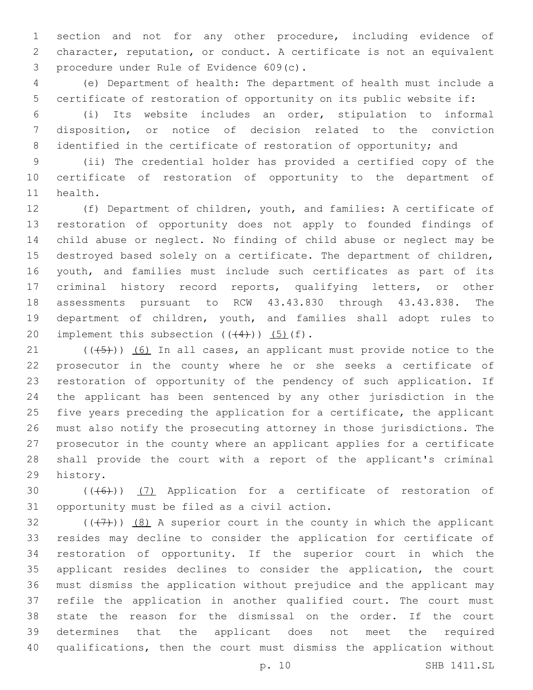section and not for any other procedure, including evidence of character, reputation, or conduct. A certificate is not an equivalent procedure under Rule of Evidence 609(c).3

 (e) Department of health: The department of health must include a certificate of restoration of opportunity on its public website if:

 (i) Its website includes an order, stipulation to informal disposition, or notice of decision related to the conviction 8 identified in the certificate of restoration of opportunity; and

 (ii) The credential holder has provided a certified copy of the certificate of restoration of opportunity to the department of 11 health.

 (f) Department of children, youth, and families: A certificate of restoration of opportunity does not apply to founded findings of child abuse or neglect. No finding of child abuse or neglect may be destroyed based solely on a certificate. The department of children, youth, and families must include such certificates as part of its criminal history record reports, qualifying letters, or other assessments pursuant to RCW 43.43.830 through 43.43.838. The department of children, youth, and families shall adopt rules to 20 implement this subsection  $((44))$   $(5)$   $(f)$ .

 $(1)$  (( $(45)$ )) (6) In all cases, an applicant must provide notice to the prosecutor in the county where he or she seeks a certificate of restoration of opportunity of the pendency of such application. If the applicant has been sentenced by any other jurisdiction in the five years preceding the application for a certificate, the applicant must also notify the prosecuting attorney in those jurisdictions. The prosecutor in the county where an applicant applies for a certificate shall provide the court with a report of the applicant's criminal 29 history.

30  $((+6+))$   $(7)$  Application for a certificate of restoration of 31 opportunity must be filed as a civil action.

 $((+7+))$   $(8)$  A superior court in the county in which the applicant resides may decline to consider the application for certificate of restoration of opportunity. If the superior court in which the applicant resides declines to consider the application, the court must dismiss the application without prejudice and the applicant may refile the application in another qualified court. The court must state the reason for the dismissal on the order. If the court determines that the applicant does not meet the required qualifications, then the court must dismiss the application without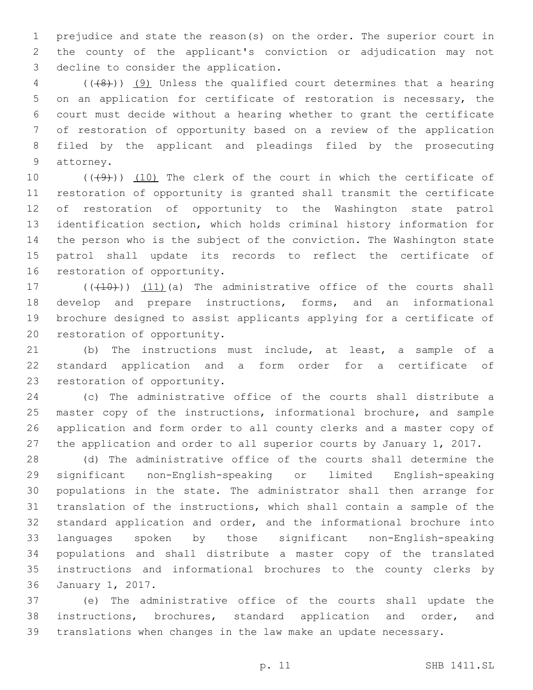prejudice and state the reason(s) on the order. The superior court in the county of the applicant's conviction or adjudication may not 3 decline to consider the application.

 (( $\left(\frac{48}{1}\right)$ ) (9) Unless the qualified court determines that a hearing on an application for certificate of restoration is necessary, the court must decide without a hearing whether to grant the certificate of restoration of opportunity based on a review of the application filed by the applicant and pleadings filed by the prosecuting 9 attorney.

 $((+9+))$   $(10)$  The clerk of the court in which the certificate of restoration of opportunity is granted shall transmit the certificate of restoration of opportunity to the Washington state patrol identification section, which holds criminal history information for the person who is the subject of the conviction. The Washington state patrol shall update its records to reflect the certificate of 16 restoration of opportunity.

 $((+10))$   $(11)$  (a) The administrative office of the courts shall develop and prepare instructions, forms, and an informational brochure designed to assist applicants applying for a certificate of 20 restoration of opportunity.

 (b) The instructions must include, at least, a sample of a standard application and a form order for a certificate of 23 restoration of opportunity.

 (c) The administrative office of the courts shall distribute a master copy of the instructions, informational brochure, and sample application and form order to all county clerks and a master copy of the application and order to all superior courts by January 1, 2017.

 (d) The administrative office of the courts shall determine the significant non-English-speaking or limited English-speaking populations in the state. The administrator shall then arrange for translation of the instructions, which shall contain a sample of the standard application and order, and the informational brochure into languages spoken by those significant non-English-speaking populations and shall distribute a master copy of the translated instructions and informational brochures to the county clerks by 36 January 1, 2017.

 (e) The administrative office of the courts shall update the instructions, brochures, standard application and order, and translations when changes in the law make an update necessary.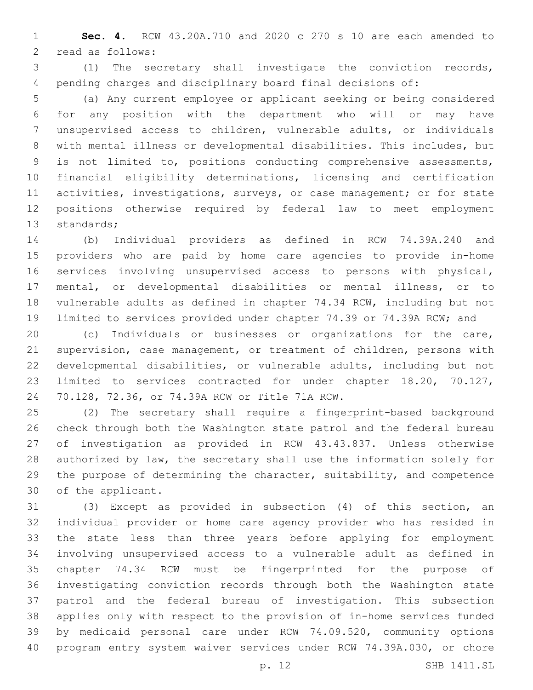**Sec. 4.** RCW 43.20A.710 and 2020 c 270 s 10 are each amended to 2 read as follows:

 (1) The secretary shall investigate the conviction records, pending charges and disciplinary board final decisions of:

 (a) Any current employee or applicant seeking or being considered for any position with the department who will or may have unsupervised access to children, vulnerable adults, or individuals with mental illness or developmental disabilities. This includes, but is not limited to, positions conducting comprehensive assessments, financial eligibility determinations, licensing and certification activities, investigations, surveys, or case management; or for state positions otherwise required by federal law to meet employment 13 standards;

 (b) Individual providers as defined in RCW 74.39A.240 and providers who are paid by home care agencies to provide in-home services involving unsupervised access to persons with physical, mental, or developmental disabilities or mental illness, or to vulnerable adults as defined in chapter 74.34 RCW, including but not limited to services provided under chapter 74.39 or 74.39A RCW; and

 (c) Individuals or businesses or organizations for the care, supervision, case management, or treatment of children, persons with developmental disabilities, or vulnerable adults, including but not limited to services contracted for under chapter 18.20, 70.127, 70.128, 72.36, or 74.39A RCW or Title 71A RCW.24

 (2) The secretary shall require a fingerprint-based background check through both the Washington state patrol and the federal bureau of investigation as provided in RCW 43.43.837. Unless otherwise authorized by law, the secretary shall use the information solely for the purpose of determining the character, suitability, and competence 30 of the applicant.

 (3) Except as provided in subsection (4) of this section, an individual provider or home care agency provider who has resided in the state less than three years before applying for employment involving unsupervised access to a vulnerable adult as defined in chapter 74.34 RCW must be fingerprinted for the purpose of investigating conviction records through both the Washington state patrol and the federal bureau of investigation. This subsection applies only with respect to the provision of in-home services funded by medicaid personal care under RCW 74.09.520, community options program entry system waiver services under RCW 74.39A.030, or chore

p. 12 SHB 1411.SL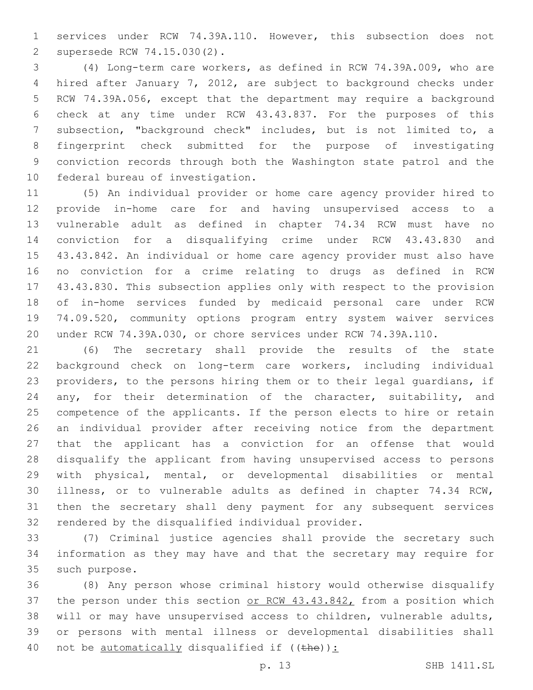services under RCW 74.39A.110. However, this subsection does not supersede RCW 74.15.030(2).2

 (4) Long-term care workers, as defined in RCW 74.39A.009, who are hired after January 7, 2012, are subject to background checks under RCW 74.39A.056, except that the department may require a background check at any time under RCW 43.43.837. For the purposes of this subsection, "background check" includes, but is not limited to, a fingerprint check submitted for the purpose of investigating conviction records through both the Washington state patrol and the 10 federal bureau of investigation.

 (5) An individual provider or home care agency provider hired to provide in-home care for and having unsupervised access to a vulnerable adult as defined in chapter 74.34 RCW must have no conviction for a disqualifying crime under RCW 43.43.830 and 43.43.842. An individual or home care agency provider must also have no conviction for a crime relating to drugs as defined in RCW 43.43.830. This subsection applies only with respect to the provision of in-home services funded by medicaid personal care under RCW 74.09.520, community options program entry system waiver services under RCW 74.39A.030, or chore services under RCW 74.39A.110.

 (6) The secretary shall provide the results of the state background check on long-term care workers, including individual providers, to the persons hiring them or to their legal guardians, if 24 any, for their determination of the character, suitability, and competence of the applicants. If the person elects to hire or retain an individual provider after receiving notice from the department that the applicant has a conviction for an offense that would disqualify the applicant from having unsupervised access to persons with physical, mental, or developmental disabilities or mental illness, or to vulnerable adults as defined in chapter 74.34 RCW, then the secretary shall deny payment for any subsequent services 32 rendered by the disqualified individual provider.

 (7) Criminal justice agencies shall provide the secretary such information as they may have and that the secretary may require for 35 such purpose.

 (8) Any person whose criminal history would otherwise disqualify 37 the person under this section or RCW 43.43.842, from a position which will or may have unsupervised access to children, vulnerable adults, or persons with mental illness or developmental disabilities shall 40 not be automatically disqualified if  $((the)$ ):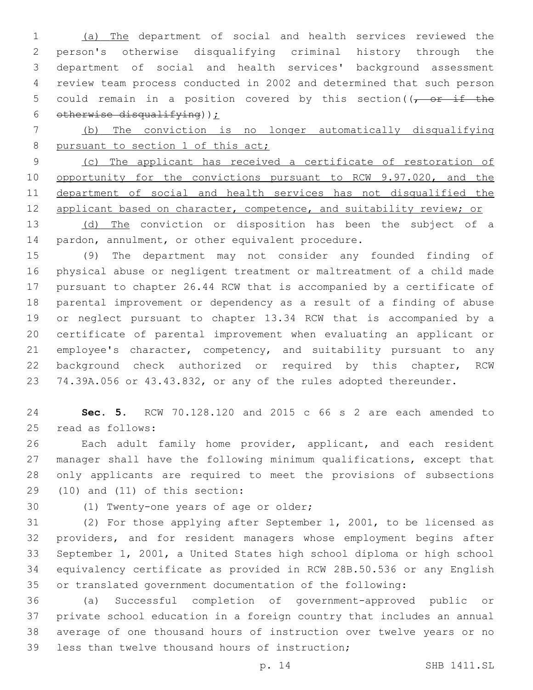(a) The department of social and health services reviewed the person's otherwise disqualifying criminal history through the department of social and health services' background assessment review team process conducted in 2002 and determined that such person 5 could remain in a position covered by this section( $\sqrt{2}$  or if the 6 otherwise disqualifying)  $\sum$ 

 (b) The conviction is no longer automatically disqualifying 8 pursuant to section 1 of this act;

 (c) The applicant has received a certificate of restoration of 10 opportunity for the convictions pursuant to RCW 9.97.020, and the department of social and health services has not disqualified the 12 applicant based on character, competence, and suitability review; or

13 (d) The conviction or disposition has been the subject of a 14 pardon, annulment, or other equivalent procedure.

 (9) The department may not consider any founded finding of physical abuse or negligent treatment or maltreatment of a child made pursuant to chapter 26.44 RCW that is accompanied by a certificate of parental improvement or dependency as a result of a finding of abuse or neglect pursuant to chapter 13.34 RCW that is accompanied by a certificate of parental improvement when evaluating an applicant or 21 employee's character, competency, and suitability pursuant to any background check authorized or required by this chapter, RCW 74.39A.056 or 43.43.832, or any of the rules adopted thereunder.

 **Sec. 5.** RCW 70.128.120 and 2015 c 66 s 2 are each amended to 25 read as follows:

 Each adult family home provider, applicant, and each resident manager shall have the following minimum qualifications, except that only applicants are required to meet the provisions of subsections  $(10)$  and  $(11)$  of this section:

30 (1) Twenty-one years of age or older;

 (2) For those applying after September 1, 2001, to be licensed as providers, and for resident managers whose employment begins after September 1, 2001, a United States high school diploma or high school equivalency certificate as provided in RCW 28B.50.536 or any English or translated government documentation of the following:

 (a) Successful completion of government-approved public or private school education in a foreign country that includes an annual average of one thousand hours of instruction over twelve years or no 39 less than twelve thousand hours of instruction;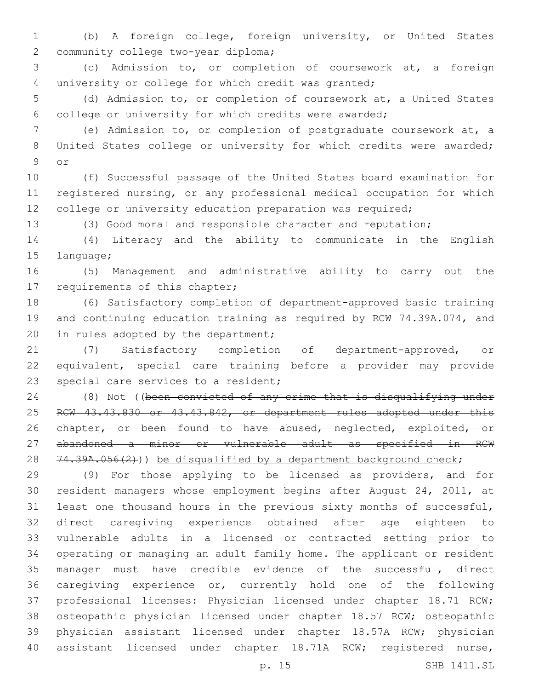(b) A foreign college, foreign university, or United States 2 community college two-year diploma;

 (c) Admission to, or completion of coursework at, a foreign university or college for which credit was granted;

 (d) Admission to, or completion of coursework at, a United States college or university for which credits were awarded;

 (e) Admission to, or completion of postgraduate coursework at, a 8 United States college or university for which credits were awarded; 9 or

 (f) Successful passage of the United States board examination for registered nursing, or any professional medical occupation for which 12 college or university education preparation was required;

(3) Good moral and responsible character and reputation;

 (4) Literacy and the ability to communicate in the English 15 language;

 (5) Management and administrative ability to carry out the 17 requirements of this chapter;

 (6) Satisfactory completion of department-approved basic training and continuing education training as required by RCW 74.39A.074, and 20 in rules adopted by the department;

 (7) Satisfactory completion of department-approved, or equivalent, special care training before a provider may provide 23 special care services to a resident;

 (8) Not ((been convicted of any crime that is disqualifying under 25 RCW 43.43.830 or 43.43.842, or department rules adopted under this 26 chapter, or been found to have abused, neglected, exploited, or abandoned a minor or vulnerable adult as specified in RCW 28  $74.39A.056(2)$ )) be disqualified by a department background check;

 (9) For those applying to be licensed as providers, and for resident managers whose employment begins after August 24, 2011, at least one thousand hours in the previous sixty months of successful, direct caregiving experience obtained after age eighteen to vulnerable adults in a licensed or contracted setting prior to operating or managing an adult family home. The applicant or resident manager must have credible evidence of the successful, direct caregiving experience or, currently hold one of the following professional licenses: Physician licensed under chapter 18.71 RCW; osteopathic physician licensed under chapter 18.57 RCW; osteopathic physician assistant licensed under chapter 18.57A RCW; physician assistant licensed under chapter 18.71A RCW; registered nurse,

p. 15 SHB 1411.SL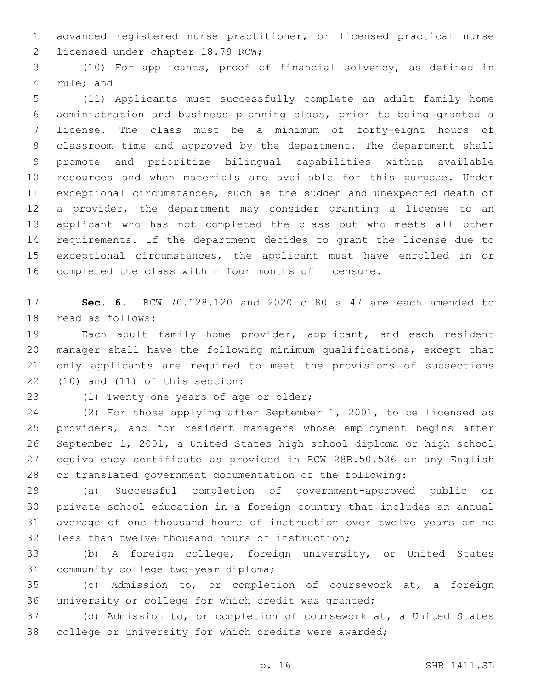advanced registered nurse practitioner, or licensed practical nurse 2 licensed under chapter 18.79 RCW;

 (10) For applicants, proof of financial solvency, as defined in 4 rule; and

 (11) Applicants must successfully complete an adult family home administration and business planning class, prior to being granted a license. The class must be a minimum of forty-eight hours of classroom time and approved by the department. The department shall promote and prioritize bilingual capabilities within available resources and when materials are available for this purpose. Under exceptional circumstances, such as the sudden and unexpected death of a provider, the department may consider granting a license to an applicant who has not completed the class but who meets all other requirements. If the department decides to grant the license due to exceptional circumstances, the applicant must have enrolled in or completed the class within four months of licensure.

 **Sec. 6.** RCW 70.128.120 and 2020 c 80 s 47 are each amended to 18 read as follows:

 Each adult family home provider, applicant, and each resident manager shall have the following minimum qualifications, except that only applicants are required to meet the provisions of subsections  $(10)$  and  $(11)$  of this section:

23 (1) Twenty-one years of age or older;

 (2) For those applying after September 1, 2001, to be licensed as providers, and for resident managers whose employment begins after September 1, 2001, a United States high school diploma or high school equivalency certificate as provided in RCW 28B.50.536 or any English or translated government documentation of the following:

 (a) Successful completion of government-approved public or private school education in a foreign country that includes an annual average of one thousand hours of instruction over twelve years or no 32 less than twelve thousand hours of instruction;

 (b) A foreign college, foreign university, or United States 34 community college two-year diploma;

 (c) Admission to, or completion of coursework at, a foreign university or college for which credit was granted;

 (d) Admission to, or completion of coursework at, a United States college or university for which credits were awarded;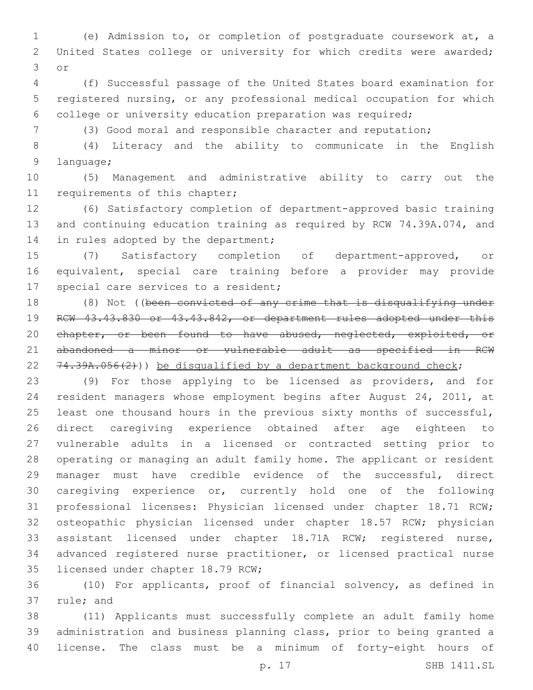(e) Admission to, or completion of postgraduate coursework at, a United States college or university for which credits were awarded; 3 or

 (f) Successful passage of the United States board examination for registered nursing, or any professional medical occupation for which college or university education preparation was required;

(3) Good moral and responsible character and reputation;

 (4) Literacy and the ability to communicate in the English 9 language;

 (5) Management and administrative ability to carry out the 11 requirements of this chapter;

 (6) Satisfactory completion of department-approved basic training and continuing education training as required by RCW 74.39A.074, and 14 in rules adopted by the department;

 (7) Satisfactory completion of department-approved, or equivalent, special care training before a provider may provide 17 special care services to a resident;

18 (8) Not ((been convicted of any crime that is disqualifying under RCW 43.43.830 or 43.43.842, or department rules adopted under this 20 chapter, or been found to have abused, neglected, exploited, or abandoned a minor or vulnerable adult as specified in RCW 22  $74.39A.056(2)$ )) be disqualified by a department background check;

 (9) For those applying to be licensed as providers, and for resident managers whose employment begins after August 24, 2011, at 25 least one thousand hours in the previous sixty months of successful, direct caregiving experience obtained after age eighteen to vulnerable adults in a licensed or contracted setting prior to operating or managing an adult family home. The applicant or resident manager must have credible evidence of the successful, direct caregiving experience or, currently hold one of the following professional licenses: Physician licensed under chapter 18.71 RCW; osteopathic physician licensed under chapter 18.57 RCW; physician assistant licensed under chapter 18.71A RCW; registered nurse, advanced registered nurse practitioner, or licensed practical nurse 35 licensed under chapter 18.79 RCW;

 (10) For applicants, proof of financial solvency, as defined in 37 rule; and

 (11) Applicants must successfully complete an adult family home administration and business planning class, prior to being granted a license. The class must be a minimum of forty-eight hours of

p. 17 SHB 1411.SL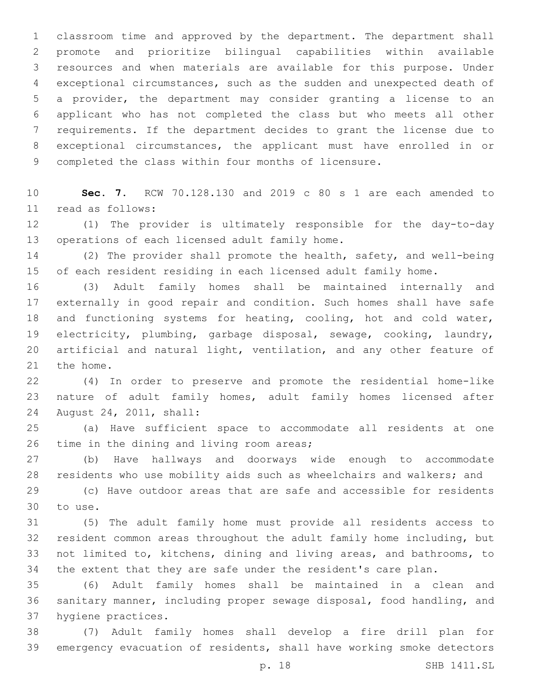classroom time and approved by the department. The department shall promote and prioritize bilingual capabilities within available resources and when materials are available for this purpose. Under exceptional circumstances, such as the sudden and unexpected death of a provider, the department may consider granting a license to an applicant who has not completed the class but who meets all other requirements. If the department decides to grant the license due to exceptional circumstances, the applicant must have enrolled in or completed the class within four months of licensure.

 **Sec. 7.** RCW 70.128.130 and 2019 c 80 s 1 are each amended to read as follows:11

 (1) The provider is ultimately responsible for the day-to-day 13 operations of each licensed adult family home.

 (2) The provider shall promote the health, safety, and well-being of each resident residing in each licensed adult family home.

 (3) Adult family homes shall be maintained internally and externally in good repair and condition. Such homes shall have safe and functioning systems for heating, cooling, hot and cold water, electricity, plumbing, garbage disposal, sewage, cooking, laundry, artificial and natural light, ventilation, and any other feature of 21 the home.

 (4) In order to preserve and promote the residential home-like nature of adult family homes, adult family homes licensed after 24 August 24, 2011, shall:

 (a) Have sufficient space to accommodate all residents at one 26 time in the dining and living room areas;

 (b) Have hallways and doorways wide enough to accommodate residents who use mobility aids such as wheelchairs and walkers; and

 (c) Have outdoor areas that are safe and accessible for residents 30 to use.

 (5) The adult family home must provide all residents access to resident common areas throughout the adult family home including, but not limited to, kitchens, dining and living areas, and bathrooms, to the extent that they are safe under the resident's care plan.

 (6) Adult family homes shall be maintained in a clean and sanitary manner, including proper sewage disposal, food handling, and 37 hygiene practices.

 (7) Adult family homes shall develop a fire drill plan for emergency evacuation of residents, shall have working smoke detectors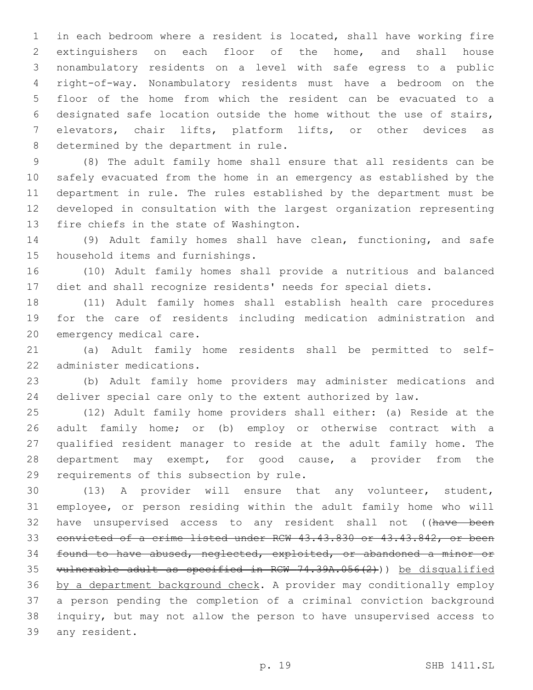in each bedroom where a resident is located, shall have working fire extinguishers on each floor of the home, and shall house nonambulatory residents on a level with safe egress to a public right-of-way. Nonambulatory residents must have a bedroom on the floor of the home from which the resident can be evacuated to a designated safe location outside the home without the use of stairs, elevators, chair lifts, platform lifts, or other devices as 8 determined by the department in rule.

 (8) The adult family home shall ensure that all residents can be safely evacuated from the home in an emergency as established by the department in rule. The rules established by the department must be developed in consultation with the largest organization representing 13 fire chiefs in the state of Washington.

 (9) Adult family homes shall have clean, functioning, and safe 15 household items and furnishings.

 (10) Adult family homes shall provide a nutritious and balanced diet and shall recognize residents' needs for special diets.

 (11) Adult family homes shall establish health care procedures for the care of residents including medication administration and 20 emergency medical care.

 (a) Adult family home residents shall be permitted to self-22 administer medications.

 (b) Adult family home providers may administer medications and deliver special care only to the extent authorized by law.

 (12) Adult family home providers shall either: (a) Reside at the adult family home; or (b) employ or otherwise contract with a qualified resident manager to reside at the adult family home. The 28 department may exempt, for good cause, a provider from the 29 requirements of this subsection by rule.

 (13) A provider will ensure that any volunteer, student, employee, or person residing within the adult family home who will 32 have unsupervised access to any resident shall not ((have been convicted of a crime listed under RCW 43.43.830 or 43.43.842, or been found to have abused, neglected, exploited, or abandoned a minor or vulnerable adult as specified in RCW 74.39A.056(2))) be disqualified by a department background check. A provider may conditionally employ a person pending the completion of a criminal conviction background inquiry, but may not allow the person to have unsupervised access to 39 any resident.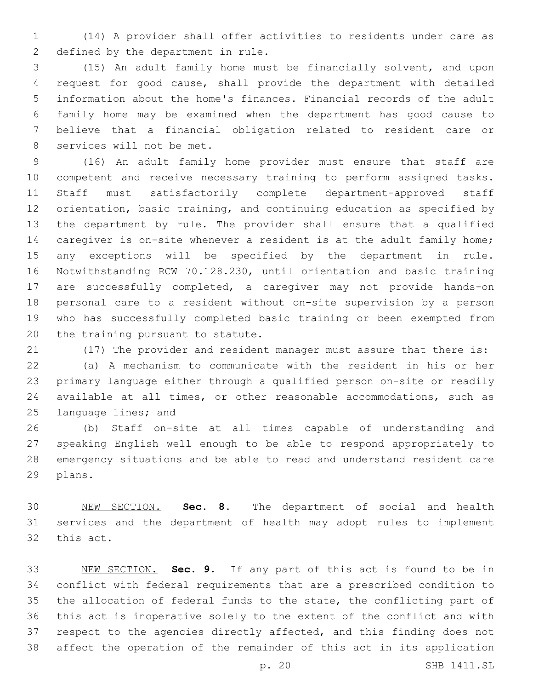(14) A provider shall offer activities to residents under care as 2 defined by the department in rule.

 (15) An adult family home must be financially solvent, and upon request for good cause, shall provide the department with detailed information about the home's finances. Financial records of the adult family home may be examined when the department has good cause to believe that a financial obligation related to resident care or 8 services will not be met.

 (16) An adult family home provider must ensure that staff are competent and receive necessary training to perform assigned tasks. Staff must satisfactorily complete department-approved staff orientation, basic training, and continuing education as specified by the department by rule. The provider shall ensure that a qualified 14 caregiver is on-site whenever a resident is at the adult family home; any exceptions will be specified by the department in rule. Notwithstanding RCW 70.128.230, until orientation and basic training are successfully completed, a caregiver may not provide hands-on personal care to a resident without on-site supervision by a person who has successfully completed basic training or been exempted from 20 the training pursuant to statute.

(17) The provider and resident manager must assure that there is:

 (a) A mechanism to communicate with the resident in his or her primary language either through a qualified person on-site or readily available at all times, or other reasonable accommodations, such as 25 language lines; and

 (b) Staff on-site at all times capable of understanding and speaking English well enough to be able to respond appropriately to emergency situations and be able to read and understand resident care 29 plans.

 NEW SECTION. **Sec. 8.** The department of social and health services and the department of health may adopt rules to implement this act.

 NEW SECTION. **Sec. 9.** If any part of this act is found to be in conflict with federal requirements that are a prescribed condition to the allocation of federal funds to the state, the conflicting part of this act is inoperative solely to the extent of the conflict and with respect to the agencies directly affected, and this finding does not affect the operation of the remainder of this act in its application

p. 20 SHB 1411.SL